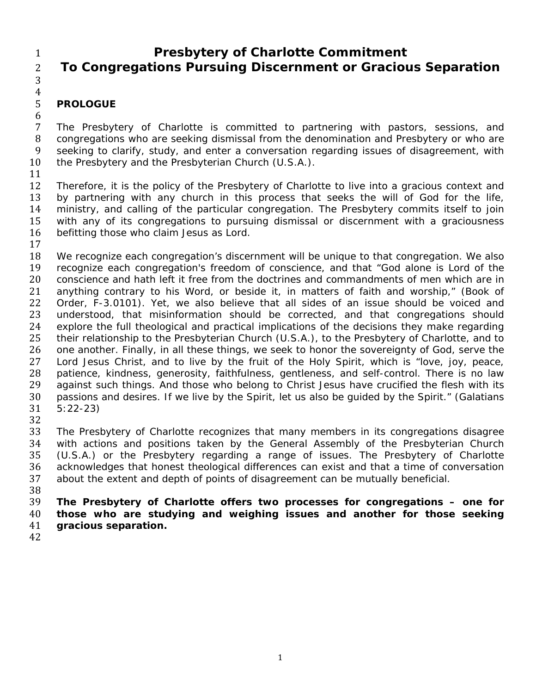## 1 **Presbytery of Charlotte Commitment**  2 **To Congregations Pursuing Discernment or Gracious Separation**

3  $\frac{4}{5}$ 

## 5 **PROLOGUE**  6

7 The Presbytery of Charlotte is committed to partnering with pastors, sessions, and 8 congregations who are seeking dismissal from the denomination and Presbytery or who are 9 seeking to clarify, study, and enter a conversation regarding issues of disagreement, with 10 the Presbytery and the Presbyterian Church (U.S.A.).

11 

12 Therefore, it is the policy of the Presbytery of Charlotte to live into a gracious context and 13 by partnering with any church in this process that seeks the will of God for the life, 14 ministry, and calling of the particular congregation. The Presbytery commits itself to join 15 with any of its congregations to pursuing dismissal or discernment with a graciousness 16 befitting those who claim Jesus as Lord. 17 

18 We recognize each congregation's discernment will be unique to that congregation. We also 19 recognize each congregation's freedom of conscience, and that "God alone is Lord of the 20 conscience and hath left it free from the doctrines and commandments of men which are in 21 anything contrary to his Word, or beside it, in matters of faith and worship," (*Book of*  22 *Order*, F-3.0101). Yet, we also believe that all sides of an issue should be voiced and<br>23 understood, that misinformation should be corrected, and that congregations should understood, that misinformation should be corrected, and that congregations should 24 explore the full theological and practical implications of the decisions they make regarding 25 their relationship to the Presbyterian Church (U.S.A.), to the Presbytery of Charlotte, and to 26 one another. Finally, in all these things, we seek to honor the sovereignty of God, serve the 27 Lord Jesus Christ, and to live by the fruit of the Holy Spirit, which is "love, joy, peace, 28 patience, kindness, generosity, faithfulness, gentleness, and self-control. There is no law 29 against such things. And those who belong to Christ Jesus have crucified the flesh with its 30 passions and desires. If we live by the Spirit, let us also be quided by the Spirit." (Galatians 31 5:22-23)

32 

33 The Presbytery of Charlotte recognizes that many members in its congregations disagree 34 with actions and positions taken by the General Assembly of the Presbyterian Church 35 (U.S.A.) or the Presbytery regarding a range of issues. The Presbytery of Charlotte 36 acknowledges that honest theological differences can exist and that a time of conversation 37 about the extent and depth of points of disagreement can be mutually beneficial. 38 

39 **The Presbytery of Charlotte offers two processes for congregations – one for**  40 **those who are studying and weighing issues and another for those seeking**  41 **gracious separation.** 

42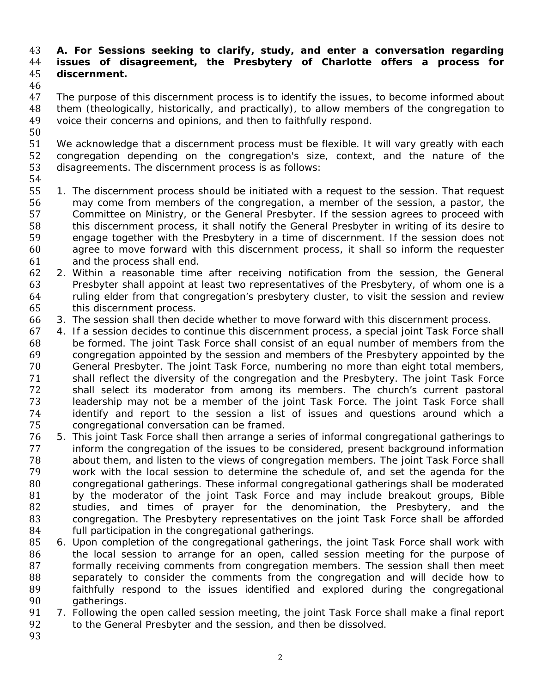## 43 **A. For Sessions seeking to clarify, study, and enter a conversation regarding**  44 **issues of disagreement, the Presbytery of Charlotte offers a process for**  45 **discernment.**

46<br>47

The purpose of this discernment process is to identify the issues, to become informed about 48 them (theologically, historically, and practically), to allow members of the congregation to 49 voice their concerns and opinions, and then to faithfully respond.

51 We acknowledge that a discernment process must be flexible. It will vary greatly with each 52 congregation depending on the congregation's size, context, and the nature of the congregation depending on the congregation's size, context, and the nature of the 53 disagreements. The discernment process is as follows:

54 

50 

55 1. The discernment process should be initiated with a request to the session. That request 56 may come from members of the congregation, a member of the session, a pastor, the 57 Committee on Ministry, or the General Presbyter. If the session agrees to proceed with 58 this discernment process, it shall notify the General Presbyter in writing of its desire to 59 engage together with the Presbytery in a time of discernment. If the session does not 60 agree to move forward with this discernment process, it shall so inform the requester 61 and the process shall end.

 2. Within a reasonable time after receiving notification from the session, the General 63 Presbyter shall appoint at least two representatives of the Presbytery, of whom one is a ruling elder from that congregation's presbytery cluster, to visit the session and review this discernment process.

- 66 3. The session shall then decide whether to move forward with this discernment process.
- 67 4. If a session decides to continue this discernment process, a special joint Task Force shall 68 be formed. The joint Task Force shall consist of an equal number of members from the 69 congregation appointed by the session and members of the Presbytery appointed by the 70 General Presbyter. The joint Task Force, numbering no more than eight total members, 71 shall reflect the diversity of the congregation and the Presbytery. The joint Task Force 72 shall select its moderator from among its members. The church's current pastoral 73 leadership may not be a member of the joint Task Force. The joint Task Force shall 74 identify and report to the session a list of issues and questions around which a<br>75 congregational conversation can be framed. congregational conversation can be framed.
- 76 5. This joint Task Force shall then arrange a series of informal congregational gatherings to<br>77 inform the congregation of the issues to be considered, present background information inform the congregation of the issues to be considered, present background information 78 about them, and listen to the views of congregation members. The joint Task Force shall 79 work with the local session to determine the schedule of, and set the agenda for the 80 congregational gatherings. These informal congregational gatherings shall be moderated 81 by the moderator of the joint Task Force and may include breakout groups, Bible<br>82 studies, and times of praver for the denomination, the Presbytery, and the studies, and times of prayer for the denomination, the Presbytery, and the 83 congregation. The Presbytery representatives on the joint Task Force shall be afforded 84 **full participation in the congregational gatherings.**
- 85 6. Upon completion of the congregational gatherings, the joint Task Force shall work with 86 the local session to arrange for an open, called session meeting for the purpose of 87 formally receiving comments from congregation members. The session shall then meet 88 Separately to consider the comments from the congregation and will decide how to 89 **faithfully respond to the issues identified and explored during the congregational** 90 gatherings.
- 91 7. Following the open called session meeting, the joint Task Force shall make a final report 92 to the General Presbyter and the session, and then be dissolved.
- 93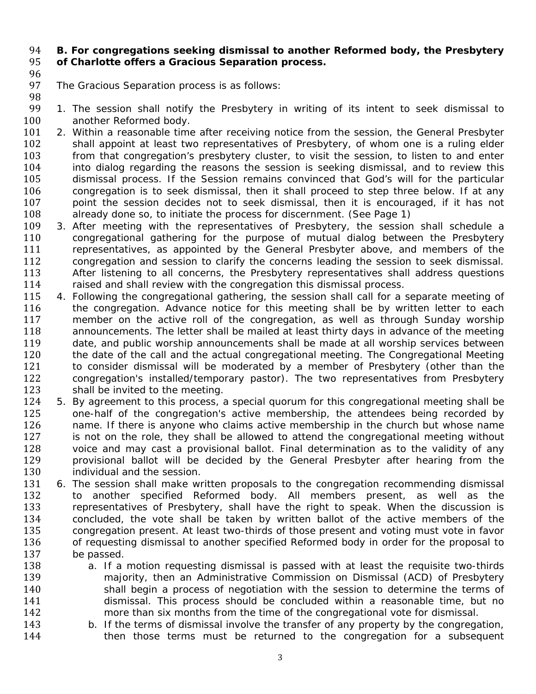## 94 **B. For congregations seeking dismissal to another Reformed body, the Presbytery**  95 **of Charlotte offers a Gracious Separation process.**

96 

98 

- 97 The Gracious Separation process is as follows:
- 99 1. The session shall notify the Presbytery in writing of its intent to seek dismissal to 100 another Reformed body.
- 101 2. Within a reasonable time after receiving notice from the session, the General Presbyter 102 shall appoint at least two representatives of Presbytery, of whom one is a ruling elder 103 from that congregation's presbytery cluster, to visit the session, to listen to and enter 104 into dialog regarding the reasons the session is seeking dismissal, and to review this 105 dismissal process. If the Session remains convinced that God's will for the particular 106 congregation is to seek dismissal, then it shall proceed to step three below. If at any 107 boint the session decides not to seek dismissal, then it is encouraged, if it has not 108 already done so, to initiate the process for discernment. (See Page 1)
- 109 3. After meeting with the representatives of Presbytery, the session shall schedule a 110 congregational gathering for the purpose of mutual dialog between the Presbytery 111 representatives, as appointed by the General Presbyter above, and members of the 112 congregation and session to clarify the concerns leading the session to seek dismissal. 113 After listening to all concerns, the Presbytery representatives shall address questions 114 raised and shall review with the congregation this dismissal process.
- 115 4. Following the congregational gathering, the session shall call for a separate meeting of 116 the congregation. Advance notice for this meeting shall be by written letter to each 117 member on the active roll of the congregation, as well as through Sunday worship 118 announcements. The letter shall be mailed at least thirty days in advance of the meeting 119 date, and public worship announcements shall be made at all worship services between 120 the date of the call and the actual congregational meeting. The Congregational Meeting 121 to consider dismissal will be moderated by a member of Presbytery (other than the 122 congregation's installed/temporary pastor). The two representatives from Presbytery 123 shall be invited to the meeting.
- 124 5. By agreement to this process, a special quorum for this congregational meeting shall be 125 one-half of the congregation's active membership, the attendees being recorded by 126 hame. If there is anyone who claims active membership in the church but whose name 127 is not on the role, they shall be allowed to attend the congregational meeting without 128 voice and may cast a provisional ballot. Final determination as to the validity of any voice and may cast a provisional ballot. Final determination as to the validity of any 129 **provisional ballot will be decided by the General Presbyter after hearing from the** 130 **individual and the session.**
- 131 6. The session shall make written proposals to the congregation recommending dismissal 132 to another specified Reformed body. All members present, as well as the 133 representatives of Presbytery, shall have the right to speak. When the discussion is 134 concluded, the vote shall be taken by written ballot of the active members of the 135 congregation present. At least two-thirds of those present and voting must vote in favor 136 of requesting dismissal to another specified Reformed body in order for the proposal to 137 be passed.
- 138 a. If a motion requesting dismissal is passed with at least the requisite two-thirds 139 **majority, then an Administrative Commission on Dismissal (ACD) of Presbytery** 140 shall begin a process of negotiation with the session to determine the terms of 141 dismissal. This process should be concluded within a reasonable time, but no 142 more than six months from the time of the congregational vote for dismissal.
- 143 b. If the terms of dismissal involve the transfer of any property by the congregation, 144 **then those terms must be returned to the congregation for a subsequent**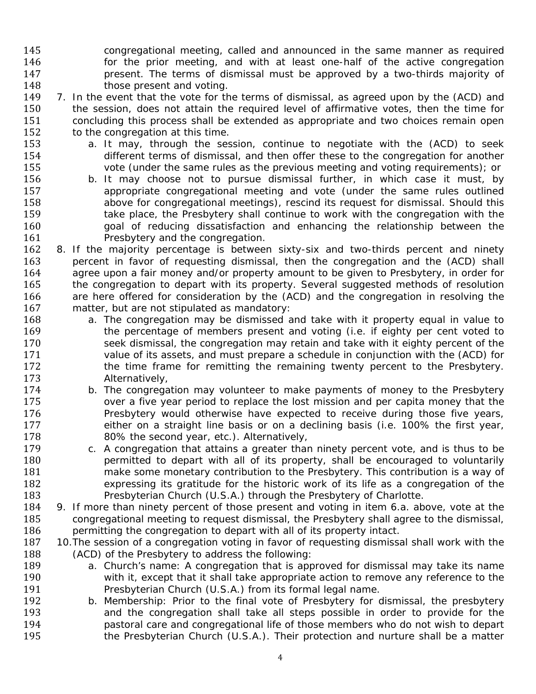145 congregational meeting, called and announced in the same manner as required **Follow For the prior meeting, and with at least one-half of the active congregation present.** The terms of dismissal must be approved by a two-thirds majority of **those present and voting.** 

149 7. In the event that the vote for the terms of dismissal, as agreed upon by the (ACD) and 150 the session, does not attain the required level of affirmative votes, then the time for 151 concluding this process shall be extended as appropriate and two choices remain open 152 to the congregation at this time.

- 153 a. It may, through the session, continue to negotiate with the (ACD) to seek 154 different terms of dismissal, and then offer these to the congregation for another 155 vote (under the same rules as the previous meeting and voting requirements); or
- 156 b. It may choose not to pursue dismissal further, in which case it must, by 157 appropriate congregational meeting and vote (under the same rules outlined 158 above for congregational meetings), rescind its request for dismissal. Should this 159 take place, the Presbytery shall continue to work with the congregation with the 160 state of reducing dissatisfaction and enhancing the relationship between the 161 Presbytery and the congregation.
- 162 8. If the majority percentage is between sixty-six and two-thirds percent and ninety 163 bercent in favor of requesting dismissal, then the congregation and the (ACD) shall 164 agree upon a fair money and/or property amount to be given to Presbytery, in order for 165 the congregation to depart with its property. Several suggested methods of resolution 166 are here offered for consideration by the (ACD) and the congregation in resolving the 167 matter, but are not stipulated as mandatory:
- 168 a. The congregation may be dismissed and take with it property equal in value to 169 **the percentage of members present and voting (i.e. if eighty per cent voted to** 170 seek dismissal, the congregation may retain and take with it eighty percent of the 171 value of its assets, and must prepare a schedule in conjunction with the (ACD) for 172 the time frame for remitting the remaining twenty percent to the Presbytery. 173 **Alternatively**,
- 174 b. The congregation may volunteer to make payments of money to the Presbytery 175 **Step 20** over a five year period to replace the lost mission and per capita money that the 176 Presbytery would otherwise have expected to receive during those five years, 177 either on a straight line basis or on a declining basis (i.e. 100% the first year, 178 80% the second year, etc.). Alternatively,
- 179 c. A congregation that attains a greater than ninety percent vote, and is thus to be 180 **permitted to depart with all of its property, shall be encouraged to voluntarily** 181 make some monetary contribution to the Presbytery. This contribution is a way of 182 expressing its gratitude for the historic work of its life as a congregation of the 183 Presbyterian Church (U.S.A.) through the Presbytery of Charlotte.
- 184 9. If more than ninety percent of those present and voting in item 6.a. above, vote at the 185 congregational meeting to request dismissal, the Presbytery shall agree to the dismissal, 186 permitting the congregation to depart with all of its property intact.
- 187 10. The session of a congregation voting in favor of requesting dismissal shall work with the 188 (ACD) of the Presbytery to address the following:
- 189 a. Church's name: A congregation that is approved for dismissal may take its name 190 with it, except that it shall take appropriate action to remove any reference to the 191 Presbyterian Church (U.S.A.) from its formal legal name.
- 192 b. Membership: Prior to the final vote of Presbytery for dismissal, the presbytery 193 and the congregation shall take all steps possible in order to provide for the 194 **pastoral care and congregational life of those members who do not wish to depart** 195 **the Presbyterian Church (U.S.A.).** Their protection and nurture shall be a matter